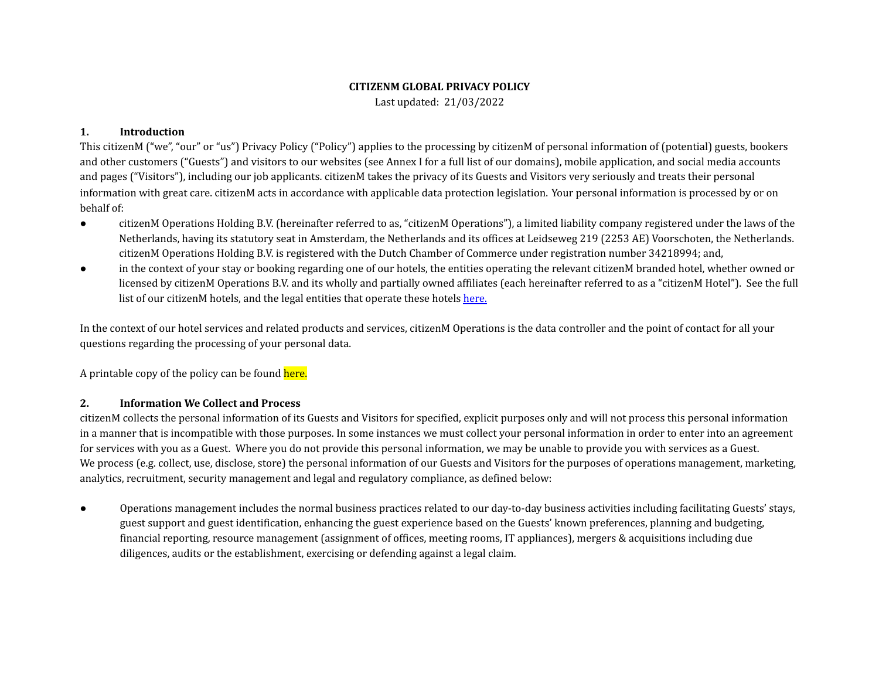## **CITIZENM GLOBAL PRIVACY POLICY** Last updated: 21/03/2022

## **1. Introduction**

This citizenM ("we", "our" or "us") Privacy Policy ("Policy") applies to the processing by citizenM of personal information of (potential) guests, bookers and other customers ("Guests") and visitors to our websites (see Annex I for a full list of our domains), mobile application, and social media accounts and pages ("Visitors"), including our job applicants. citizenM takes the privacy of its Guests and Visitors very seriously and treats their personal information with great care. citizenM acts in accordance with applicable data protection legislation. Your personal information is processed by or on behalf of:

- citizenM Operations Holding B.V. (hereinafter referred to as, "citizenM Operations"), a limited liability company registered under the laws of the Netherlands, having its statutory seat in Amsterdam, the Netherlands and its offices at Leidseweg 219 (2253 AE) Voorschoten, the Netherlands. citizenM Operations Holding B.V. is registered with the Dutch Chamber of Commerce under registration number 34218994; and,
- in the context of your stay or booking regarding one of our hotels, the entities operating the relevant citizenM branded hotel, whether owned or licensed by citizenM Operations B.V. and its wholly and partially owned affiliates (each hereinafter referred to as a "citizenM Hotel"). See the full list of our citizenM hotels, and the legal entities that operate these hotels [here.](https://drive.google.com/a/citizenm.com/file/d/0BzM75qwvjw3FRmRWb1lsdXJsT00/view?usp=sharing)

In the context of our hotel services and related products and services, citizenM Operations is the data controller and the point of contact for all your questions regarding the processing of your personal data.

A printable copy of the policy can be found here.

## **2. Information We Collect and Process**

citizenM collects the personal information of its Guests and Visitors for specified, explicit purposes only and will not process this personal information in a manner that is incompatible with those purposes. In some instances we must collect your personal information in order to enter into an agreement for services with you as a Guest. Where you do not provide this personal information, we may be unable to provide you with services as a Guest. We process (e.g. collect, use, disclose, store) the personal information of our Guests and Visitors for the purposes of operations management, marketing, analytics, recruitment, security management and legal and regulatory compliance, as defined below:

● Operations management includes the normal business practices related to our day-to-day business activities including facilitating Guests' stays, guest support and guest identification, enhancing the guest experience based on the Guests' known preferences, planning and budgeting, financial reporting, resource management (assignment of offices, meeting rooms, IT appliances), mergers & acquisitions including due diligences, audits or the establishment, exercising or defending against a legal claim.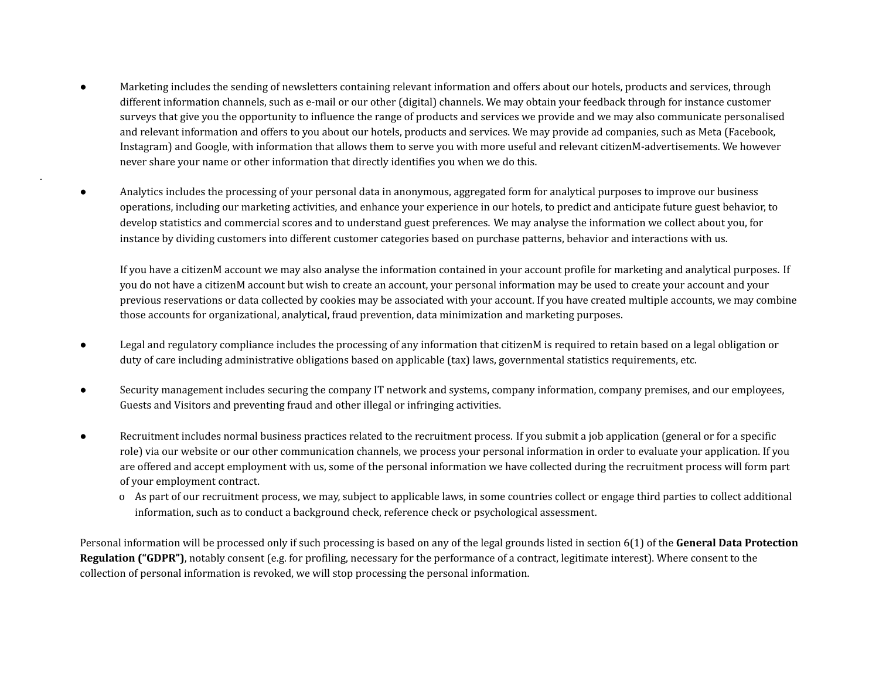- Marketing includes the sending of newsletters containing relevant information and offers about our hotels, products and services, through different information channels, such as e-mail or our other (digital) channels. We may obtain your feedback through for instance customer surveys that give you the opportunity to influence the range of products and services we provide and we may also communicate personalised and relevant information and offers to you about our hotels, products and services. We may provide ad companies, such as Meta (Facebook, Instagram) and Google, with information that allows them to serve you with more useful and relevant citizenM-advertisements. We however never share your name or other information that directly identifies you when we do this.
- Analytics includes the processing of your personal data in anonymous, aggregated form for analytical purposes to improve our business operations, including our marketing activities, and enhance your experience in our hotels, to predict and anticipate future guest behavior, to develop statistics and commercial scores and to understand guest preferences. We may analyse the information we collect about you, for instance by dividing customers into different customer categories based on purchase patterns, behavior and interactions with us.

.

If you have a citizenM account we may also analyse the information contained in your account profile for marketing and analytical purposes. If you do not have a citizenM account but wish to create an account, your personal information may be used to create your account and your previous reservations or data collected by cookies may be associated with your account. If you have created multiple accounts, we may combine those accounts for organizational, analytical, fraud prevention, data minimization and marketing purposes.

- Legal and regulatory compliance includes the processing of any information that citizenM is required to retain based on a legal obligation or duty of care including administrative obligations based on applicable (tax) laws, governmental statistics requirements, etc.
- Security management includes securing the company IT network and systems, company information, company premises, and our employees, Guests and Visitors and preventing fraud and other illegal or infringing activities.
- Recruitment includes normal business practices related to the recruitment process. If you submit a job application (general or for a specific role) via our website or our other communication channels, we process your personal information in order to evaluate your application. If you are offered and accept employment with us, some of the personal information we have collected during the recruitment process will form part of your employment contract.
	- o As part of our recruitment process, we may, subject to applicable laws, in some countries collect or engage third parties to collect additional information, such as to conduct a background check, reference check or psychological assessment.

Personal information will be processed only if such processing is based on any of the legal grounds listed in section 6(1) of the **General Data Protection Regulation ("GDPR")**, notably consent (e.g. for profiling, necessary for the performance of a contract, legitimate interest). Where consent to the collection of personal information is revoked, we will stop processing the personal information.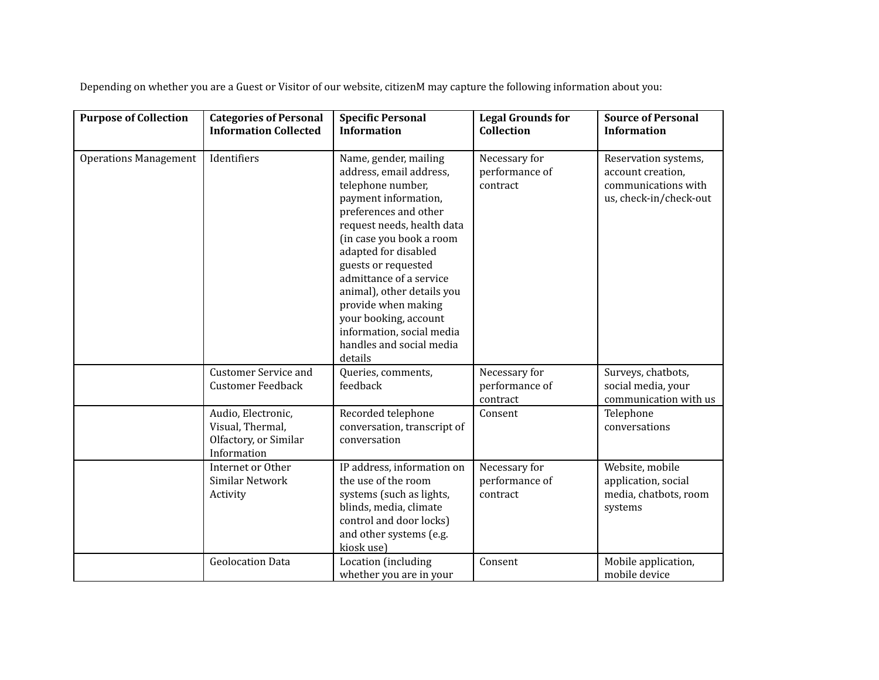Depending on whether you are a Guest or Visitor of our website, citizenM may capture the following information about you:

| <b>Purpose of Collection</b> | <b>Categories of Personal</b><br><b>Information Collected</b>                  | <b>Specific Personal</b><br><b>Information</b>                                                                                                                                                                                                                                                                                                                                                               | <b>Legal Grounds for</b><br><b>Collection</b> | <b>Source of Personal</b><br><b>Information</b>                                            |
|------------------------------|--------------------------------------------------------------------------------|--------------------------------------------------------------------------------------------------------------------------------------------------------------------------------------------------------------------------------------------------------------------------------------------------------------------------------------------------------------------------------------------------------------|-----------------------------------------------|--------------------------------------------------------------------------------------------|
| <b>Operations Management</b> | Identifiers                                                                    | Name, gender, mailing<br>address, email address,<br>telephone number,<br>payment information,<br>preferences and other<br>request needs, health data<br>(in case you book a room<br>adapted for disabled<br>guests or requested<br>admittance of a service<br>animal), other details you<br>provide when making<br>your booking, account<br>information, social media<br>handles and social media<br>details | Necessary for<br>performance of<br>contract   | Reservation systems,<br>account creation,<br>communications with<br>us, check-in/check-out |
|                              | <b>Customer Service and</b><br><b>Customer Feedback</b>                        | Queries, comments,<br>feedback                                                                                                                                                                                                                                                                                                                                                                               | Necessary for<br>performance of<br>contract   | Surveys, chatbots,<br>social media, your<br>communication with us                          |
|                              | Audio, Electronic,<br>Visual, Thermal,<br>Olfactory, or Similar<br>Information | Recorded telephone<br>conversation, transcript of<br>conversation                                                                                                                                                                                                                                                                                                                                            | Consent                                       | Telephone<br>conversations                                                                 |
|                              | Internet or Other<br>Similar Network<br>Activity                               | IP address, information on<br>the use of the room<br>systems (such as lights,<br>blinds, media, climate<br>control and door locks)<br>and other systems (e.g.<br>kiosk use)                                                                                                                                                                                                                                  | Necessary for<br>performance of<br>contract   | Website, mobile<br>application, social<br>media, chatbots, room<br>systems                 |
|                              | <b>Geolocation Data</b>                                                        | Location (including<br>whether you are in your                                                                                                                                                                                                                                                                                                                                                               | Consent                                       | Mobile application,<br>mobile device                                                       |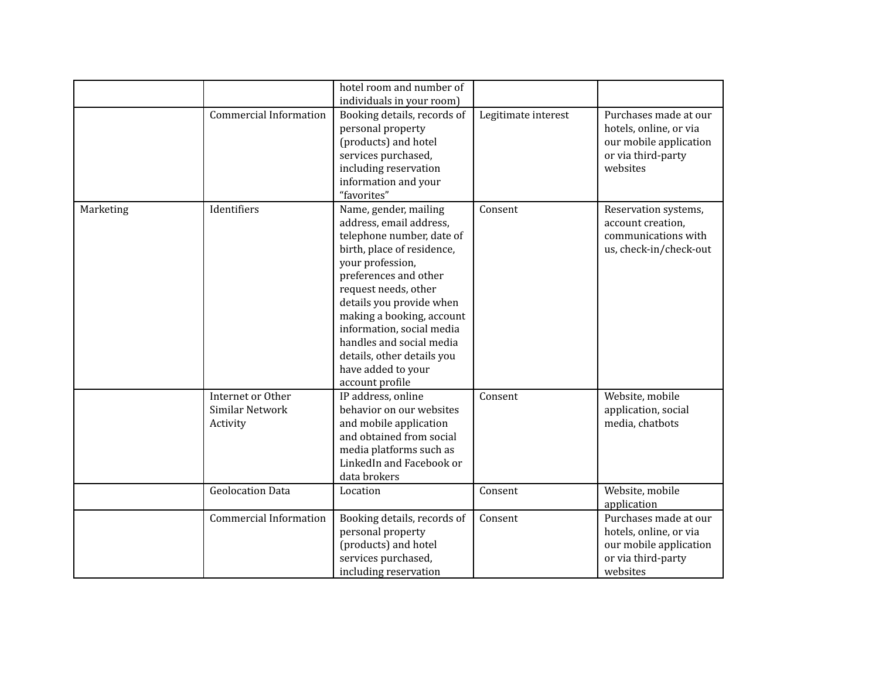|           |                                                  | hotel room and number of                                                                                                                                                                                                                                                                                                                                                  |                     |                                                                                                             |
|-----------|--------------------------------------------------|---------------------------------------------------------------------------------------------------------------------------------------------------------------------------------------------------------------------------------------------------------------------------------------------------------------------------------------------------------------------------|---------------------|-------------------------------------------------------------------------------------------------------------|
|           |                                                  | individuals in your room)                                                                                                                                                                                                                                                                                                                                                 |                     |                                                                                                             |
|           | <b>Commercial Information</b>                    | Booking details, records of<br>personal property<br>(products) and hotel<br>services purchased,<br>including reservation<br>information and your<br>"favorites"                                                                                                                                                                                                           | Legitimate interest | Purchases made at our<br>hotels, online, or via<br>our mobile application<br>or via third-party<br>websites |
| Marketing | Identifiers                                      | Name, gender, mailing<br>address, email address,<br>telephone number, date of<br>birth, place of residence,<br>your profession,<br>preferences and other<br>request needs, other<br>details you provide when<br>making a booking, account<br>information, social media<br>handles and social media<br>details, other details you<br>have added to your<br>account profile | Consent             | Reservation systems,<br>account creation,<br>communications with<br>us, check-in/check-out                  |
|           | Internet or Other<br>Similar Network<br>Activity | IP address, online<br>behavior on our websites<br>and mobile application<br>and obtained from social<br>media platforms such as<br>LinkedIn and Facebook or<br>data brokers                                                                                                                                                                                               | Consent             | Website, mobile<br>application, social<br>media, chatbots                                                   |
|           | <b>Geolocation Data</b>                          | Location                                                                                                                                                                                                                                                                                                                                                                  | Consent             | Website, mobile<br>application                                                                              |
|           | <b>Commercial Information</b>                    | Booking details, records of<br>personal property<br>(products) and hotel<br>services purchased,<br>including reservation                                                                                                                                                                                                                                                  | Consent             | Purchases made at our<br>hotels, online, or via<br>our mobile application<br>or via third-party<br>websites |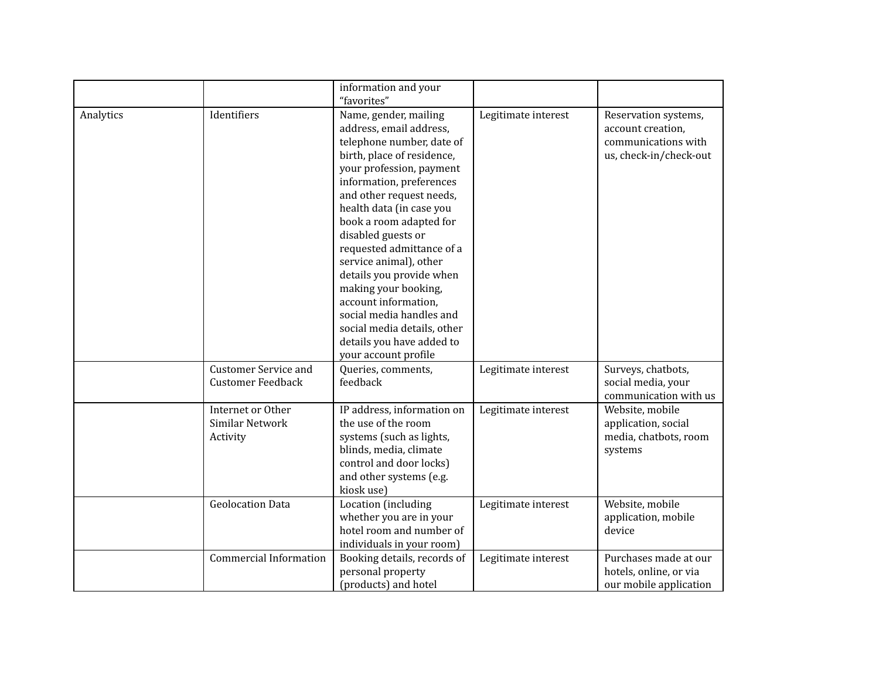|           |                                                         | information and your<br>"favorites"                                                                                                                                                                                                                                                                                                                                                                                                                                                                                             |                     |                                                                                            |
|-----------|---------------------------------------------------------|---------------------------------------------------------------------------------------------------------------------------------------------------------------------------------------------------------------------------------------------------------------------------------------------------------------------------------------------------------------------------------------------------------------------------------------------------------------------------------------------------------------------------------|---------------------|--------------------------------------------------------------------------------------------|
| Analytics | Identifiers                                             | Name, gender, mailing<br>address, email address,<br>telephone number, date of<br>birth, place of residence,<br>your profession, payment<br>information, preferences<br>and other request needs,<br>health data (in case you<br>book a room adapted for<br>disabled guests or<br>requested admittance of a<br>service animal), other<br>details you provide when<br>making your booking,<br>account information,<br>social media handles and<br>social media details, other<br>details you have added to<br>your account profile | Legitimate interest | Reservation systems,<br>account creation,<br>communications with<br>us, check-in/check-out |
|           | <b>Customer Service and</b><br><b>Customer Feedback</b> | Queries, comments,<br>feedback                                                                                                                                                                                                                                                                                                                                                                                                                                                                                                  | Legitimate interest | Surveys, chatbots,<br>social media, your<br>communication with us                          |
|           | Internet or Other<br>Similar Network<br>Activity        | IP address, information on<br>the use of the room<br>systems (such as lights,<br>blinds, media, climate<br>control and door locks)<br>and other systems (e.g.<br>kiosk use)                                                                                                                                                                                                                                                                                                                                                     | Legitimate interest | Website, mobile<br>application, social<br>media, chatbots, room<br>systems                 |
|           | <b>Geolocation Data</b>                                 | Location (including<br>whether you are in your<br>hotel room and number of<br>individuals in your room)                                                                                                                                                                                                                                                                                                                                                                                                                         | Legitimate interest | Website, mobile<br>application, mobile<br>device                                           |
|           | <b>Commercial Information</b>                           | Booking details, records of<br>personal property<br>(products) and hotel                                                                                                                                                                                                                                                                                                                                                                                                                                                        | Legitimate interest | Purchases made at our<br>hotels, online, or via<br>our mobile application                  |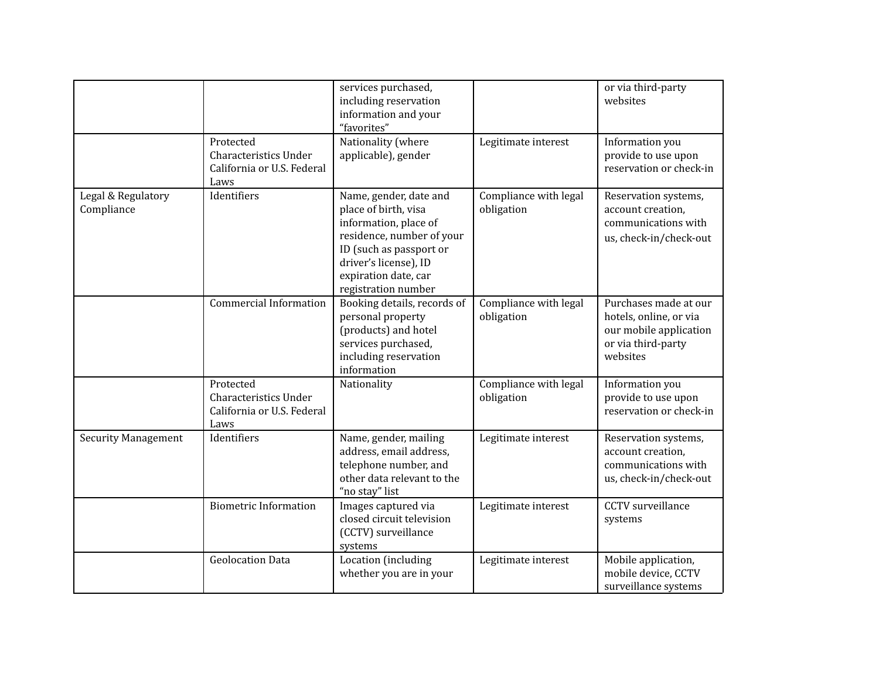|                                  |                                                                                 | services purchased,<br>including reservation<br>information and your<br>"favorites"                                                                                                                     |                                     | or via third-party<br>websites                                                                              |
|----------------------------------|---------------------------------------------------------------------------------|---------------------------------------------------------------------------------------------------------------------------------------------------------------------------------------------------------|-------------------------------------|-------------------------------------------------------------------------------------------------------------|
|                                  | Protected<br>Characteristics Under<br>California or U.S. Federal<br>Laws        | Nationality (where<br>applicable), gender                                                                                                                                                               | Legitimate interest                 | Information you<br>provide to use upon<br>reservation or check-in                                           |
| Legal & Regulatory<br>Compliance | Identifiers                                                                     | Name, gender, date and<br>place of birth, visa<br>information, place of<br>residence, number of your<br>ID (such as passport or<br>driver's license), ID<br>expiration date, car<br>registration number | Compliance with legal<br>obligation | Reservation systems,<br>account creation,<br>communications with<br>us, check-in/check-out                  |
|                                  | <b>Commercial Information</b>                                                   | Booking details, records of<br>personal property<br>(products) and hotel<br>services purchased,<br>including reservation<br>information                                                                 | Compliance with legal<br>obligation | Purchases made at our<br>hotels, online, or via<br>our mobile application<br>or via third-party<br>websites |
|                                  | Protected<br><b>Characteristics Under</b><br>California or U.S. Federal<br>Laws | Nationality                                                                                                                                                                                             | Compliance with legal<br>obligation | Information you<br>provide to use upon<br>reservation or check-in                                           |
| <b>Security Management</b>       | Identifiers                                                                     | Name, gender, mailing<br>address, email address,<br>telephone number, and<br>other data relevant to the<br>"no stay" list                                                                               | Legitimate interest                 | Reservation systems,<br>account creation,<br>communications with<br>us, check-in/check-out                  |
|                                  | <b>Biometric Information</b>                                                    | Images captured via<br>closed circuit television<br>(CCTV) surveillance<br>systems                                                                                                                      | Legitimate interest                 | <b>CCTV</b> surveillance<br>systems                                                                         |
|                                  | <b>Geolocation Data</b>                                                         | Location (including<br>whether you are in your                                                                                                                                                          | Legitimate interest                 | Mobile application,<br>mobile device, CCTV<br>surveillance systems                                          |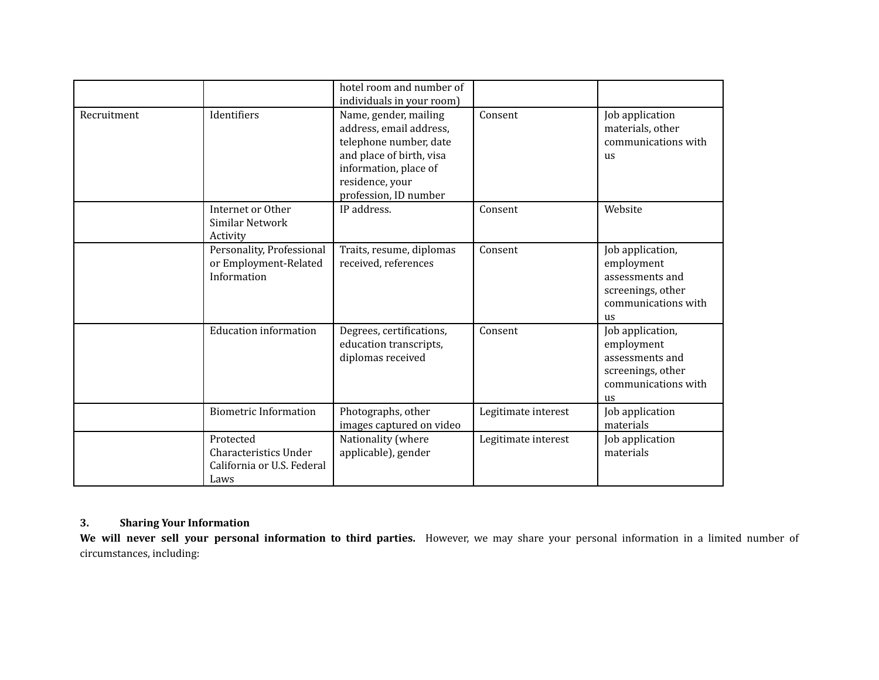|             |                                                                          | hotel room and number of<br>individuals in your room)                                                                                                                       |                     |                                                                                                     |
|-------------|--------------------------------------------------------------------------|-----------------------------------------------------------------------------------------------------------------------------------------------------------------------------|---------------------|-----------------------------------------------------------------------------------------------------|
| Recruitment | Identifiers                                                              | Name, gender, mailing<br>address, email address,<br>telephone number, date<br>and place of birth, visa<br>information, place of<br>residence, your<br>profession, ID number | Consent             | Job application<br>materials, other<br>communications with<br>us                                    |
|             | Internet or Other<br>Similar Network<br>Activity                         | IP address.                                                                                                                                                                 | Consent             | Website                                                                                             |
|             | Personality, Professional<br>or Employment-Related<br>Information        | Traits, resume, diplomas<br>received, references                                                                                                                            | Consent             | Job application,<br>employment<br>assessments and<br>screenings, other<br>communications with<br>us |
|             | <b>Education information</b>                                             | Degrees, certifications,<br>education transcripts,<br>diplomas received                                                                                                     | Consent             | Job application,<br>employment<br>assessments and<br>screenings, other<br>communications with<br>us |
|             | <b>Biometric Information</b>                                             | Photographs, other<br>images captured on video                                                                                                                              | Legitimate interest | Job application<br>materials                                                                        |
|             | Protected<br>Characteristics Under<br>California or U.S. Federal<br>Laws | Nationality (where<br>applicable), gender                                                                                                                                   | Legitimate interest | Job application<br>materials                                                                        |

# **3. Sharing Your Information**

**We will never sell your personal information to third parties.** However, we may share your personal information in a limited number of circumstances, including: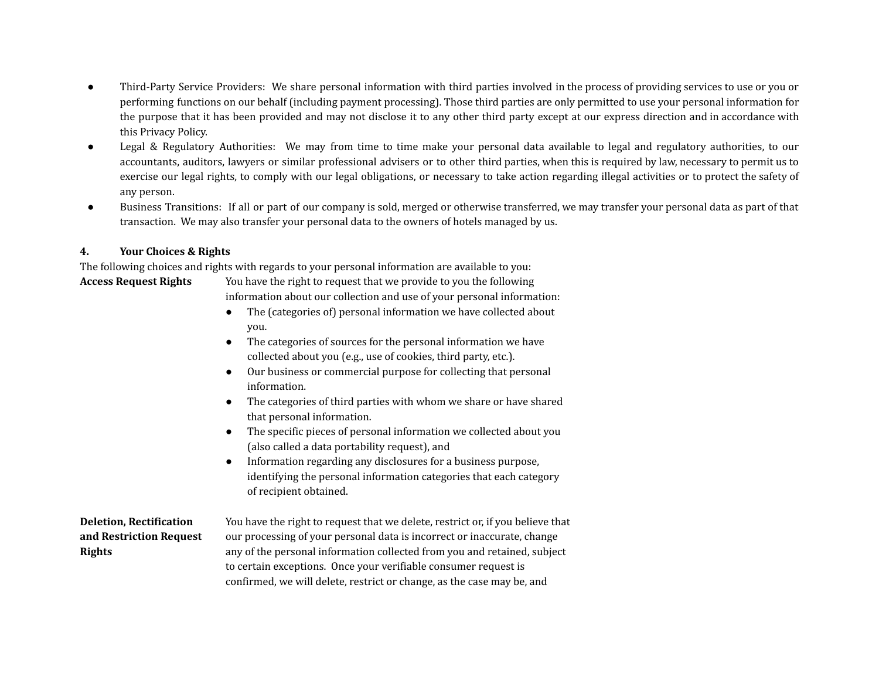- Third-Party Service Providers: We share personal information with third parties involved in the process of providing services to use or you or performing functions on our behalf (including payment processing). Those third parties are only permitted to use your personal information for the purpose that it has been provided and may not disclose it to any other third party except at our express direction and in accordance with this Privacy Policy.
- Legal & Regulatory Authorities: We may from time to time make your personal data available to legal and regulatory authorities, to our accountants, auditors, lawyers or similar professional advisers or to other third parties, when this is required by law, necessary to permit us to exercise our legal rights, to comply with our legal obligations, or necessary to take action regarding illegal activities or to protect the safety of any person.
- Business Transitions: If all or part of our company is sold, merged or otherwise transferred, we may transfer your personal data as part of that transaction. We may also transfer your personal data to the owners of hotels managed by us.

## **4. Your Choices & Rights**

The following choices and rights with regards to your personal information are available to you: **Access Request Rights** You have the right to request that we provide to you the following

- information about our collection and use of your personal information:
- The (categories of) personal information we have collected about you.
- The categories of sources for the personal information we have collected about you (e.g., use of cookies, third party, etc.).
- Our business or commercial purpose for collecting that personal information.
- The categories of third parties with whom we share or have shared that personal information.
- The specific pieces of personal information we collected about you (also called a data portability request), and
- Information regarding any disclosures for a business purpose, identifying the personal information categories that each category of recipient obtained.

**Deletion, Rectification and Restriction Request Rights**

You have the right to request that we delete, restrict or, if you believe that our processing of your personal data is incorrect or inaccurate, change any of the personal information collected from you and retained, subject to certain exceptions. Once your verifiable consumer request is confirmed, we will delete, restrict or change, as the case may be, and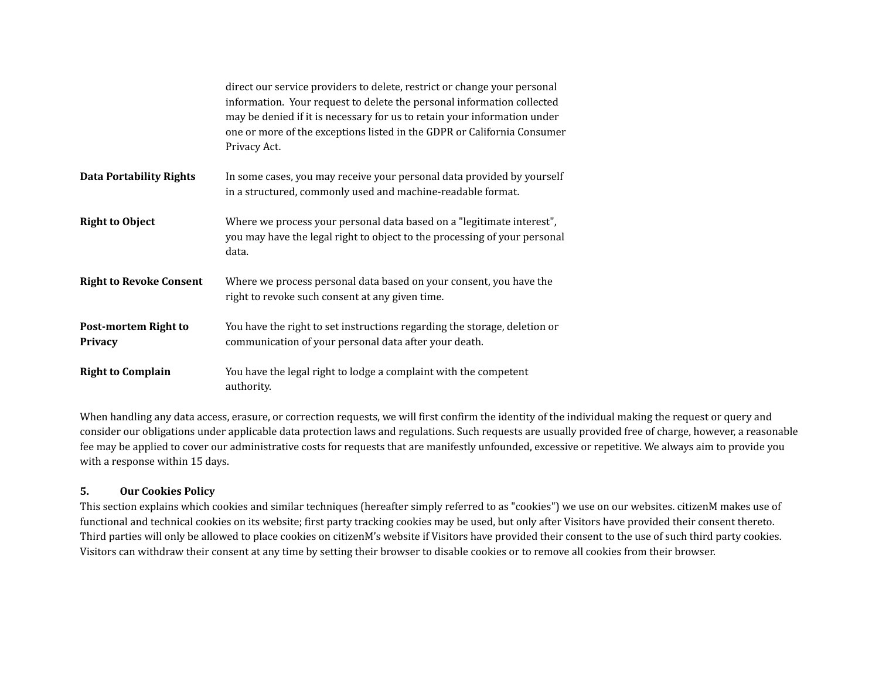|                                               | direct our service providers to delete, restrict or change your personal<br>information. Your request to delete the personal information collected<br>may be denied if it is necessary for us to retain your information under<br>one or more of the exceptions listed in the GDPR or California Consumer<br>Privacy Act. |
|-----------------------------------------------|---------------------------------------------------------------------------------------------------------------------------------------------------------------------------------------------------------------------------------------------------------------------------------------------------------------------------|
| <b>Data Portability Rights</b>                | In some cases, you may receive your personal data provided by yourself<br>in a structured, commonly used and machine-readable format.                                                                                                                                                                                     |
| <b>Right to Object</b>                        | Where we process your personal data based on a "legitimate interest",<br>you may have the legal right to object to the processing of your personal<br>data.                                                                                                                                                               |
| <b>Right to Revoke Consent</b>                | Where we process personal data based on your consent, you have the<br>right to revoke such consent at any given time.                                                                                                                                                                                                     |
| <b>Post-mortem Right to</b><br><b>Privacy</b> | You have the right to set instructions regarding the storage, deletion or<br>communication of your personal data after your death.                                                                                                                                                                                        |
| <b>Right to Complain</b>                      | You have the legal right to lodge a complaint with the competent<br>authority.                                                                                                                                                                                                                                            |

When handling any data access, erasure, or correction requests, we will first confirm the identity of the individual making the request or query and consider our obligations under applicable data protection laws and regulations. Such requests are usually provided free of charge, however, a reasonable fee may be applied to cover our administrative costs for requests that are manifestly unfounded, excessive or repetitive. We always aim to provide you with a response within 15 days.

#### **5. Our Cookies Policy**

This section explains which cookies and similar techniques (hereafter simply referred to as "cookies") we use on our websites. citizenM makes use of functional and technical cookies on its website; first party tracking cookies may be used, but only after Visitors have provided their consent thereto. Third parties will only be allowed to place cookies on citizenM's website if Visitors have provided their consent to the use of such third party cookies. Visitors can withdraw their consent at any time by setting their browser to disable cookies or to remove all cookies from their browser.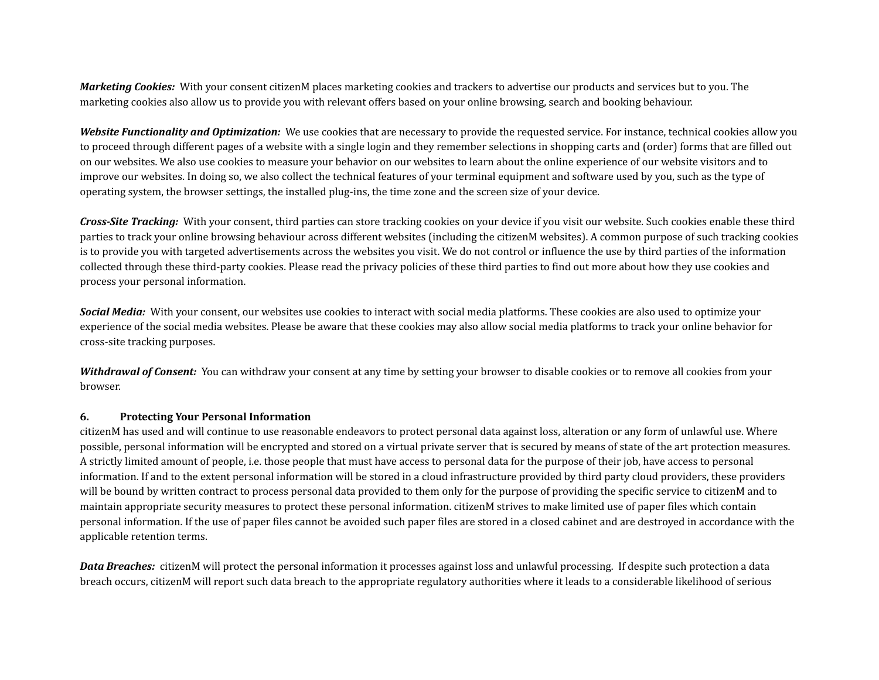*Marketing Cookies:* With your consent citizenM places marketing cookies and trackers to advertise our products and services but to you. The marketing cookies also allow us to provide you with relevant offers based on your online browsing, search and booking behaviour.

*Website Functionality and Optimization:* We use cookies that are necessary to provide the requested service. For instance, technical cookies allow you to proceed through different pages of a website with a single login and they remember selections in shopping carts and (order) forms that are filled out on our websites. We also use cookies to measure your behavior on our websites to learn about the online experience of our website visitors and to improve our websites. In doing so, we also collect the technical features of your terminal equipment and software used by you, such as the type of operating system, the browser settings, the installed plug-ins, the time zone and the screen size of your device.

*Cross-Site Tracking:* With your consent, third parties can store tracking cookies on your device if you visit our website. Such cookies enable these third parties to track your online browsing behaviour across different websites (including the citizenM websites). A common purpose of such tracking cookies is to provide you with targeted advertisements across the websites you visit. We do not control or influence the use by third parties of the information collected through these third-party cookies. Please read the privacy policies of these third parties to find out more about how they use cookies and process your personal information.

*Social Media:* With your consent, our websites use cookies to interact with social media platforms. These cookies are also used to optimize your experience of the social media websites. Please be aware that these cookies may also allow social media platforms to track your online behavior for cross-site tracking purposes.

*Withdrawal of Consent:* You can withdraw your consent at any time by setting your browser to disable cookies or to remove all cookies from your browser.

#### **6. Protecting Your Personal Information**

citizenM has used and will continue to use reasonable endeavors to protect personal data against loss, alteration or any form of unlawful use. Where possible, personal information will be encrypted and stored on a virtual private server that is secured by means of state of the art protection measures. A strictly limited amount of people, i.e. those people that must have access to personal data for the purpose of their job, have access to personal information. If and to the extent personal information will be stored in a cloud infrastructure provided by third party cloud providers, these providers will be bound by written contract to process personal data provided to them only for the purpose of providing the specific service to citizenM and to maintain appropriate security measures to protect these personal information. citizenM strives to make limited use of paper files which contain personal information. If the use of paper files cannot be avoided such paper files are stored in a closed cabinet and are destroyed in accordance with the applicable retention terms.

*Data Breaches:* citizenM will protect the personal information it processes against loss and unlawful processing. If despite such protection a data breach occurs, citizenM will report such data breach to the appropriate regulatory authorities where it leads to a considerable likelihood of serious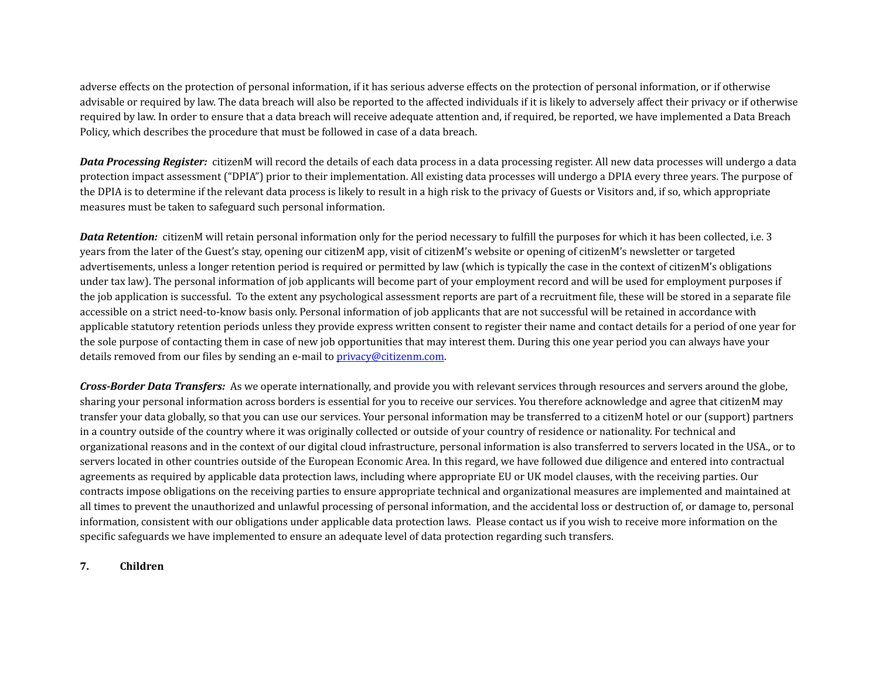adverse effects on the protection of personal information, if it has serious adverse effects on the protection of personal information, or if otherwise advisable or required by law. The data breach will also be reported to the affected individuals if it is likely to adversely affect their privacy or if otherwise required by law. In order to ensure that a data breach will receive adequate attention and, if required, be reported, we have implemented a Data Breach Policy, which describes the procedure that must be followed in case of a data breach.

**Data Processing Register:** citizenM will record the details of each data process in a data processing register. All new data processes will undergo a data protection impact assessment ("DPIA") prior to their implementation. All existing data processes will undergo a DPIA every three years. The purpose of the DPIA is to determine if the relevant data process is likely to result in a high risk to the privacy of Guests or Visitors and, if so, which appropriate measures must be taken to safeguard such personal information.

*Data Retention:* citizenM will retain personal information only for the period necessary to fulfill the purposes for which it has been collected, i.e. 3 years from the later of the Guest's stay, opening our citizenM app, visit of citizenM's website or opening of citizenM's newsletter or targeted advertisements, unless a longer retention period is required or permitted by law (which is typically the case in the context of citizenM's obligations under tax law). The personal information of job applicants will become part of your employment record and will be used for employment purposes if the job application is successful. To the extent any psychological assessment reports are part of a recruitment file, these will be stored in a separate file accessible on a strict need-to-know basis only. Personal information of job applicants that are not successful will be retained in accordance with applicable statutory retention periods unless they provide express written consent to register their name and contact details for a period of one year for the sole purpose of contacting them in case of new job opportunities that may interest them. During this one year period you can always have your details removed from our files by sending an e-mail to *[privacy@citizenm.com](mailto:privacy@citizenm.com).* 

*Cross-Border Data Transfers:* As we operate internationally, and provide you with relevant services through resources and servers around the globe, sharing your personal information across borders is essential for you to receive our services. You therefore acknowledge and agree that citizenM may transfer your data globally, so that you can use our services. Your personal information may be transferred to a citizenM hotel or our (support) partners in a country outside of the country where it was originally collected or outside of your country of residence or nationality. For technical and organizational reasons and in the context of our digital cloud infrastructure, personal information is also transferred to servers located in the USA., or to servers located in other countries outside of the European Economic Area. In this regard, we have followed due diligence and entered into contractual agreements as required by applicable data protection laws, including where appropriate EU or UK model clauses, with the receiving parties. Our contracts impose obligations on the receiving parties to ensure appropriate technical and organizational measures are implemented and maintained at all times to prevent the unauthorized and unlawful processing of personal information, and the accidental loss or destruction of, or damage to, personal information, consistent with our obligations under applicable data protection laws. Please contact us if you wish to receive more information on the specific safeguards we have implemented to ensure an adequate level of data protection regarding such transfers.

**7. Children**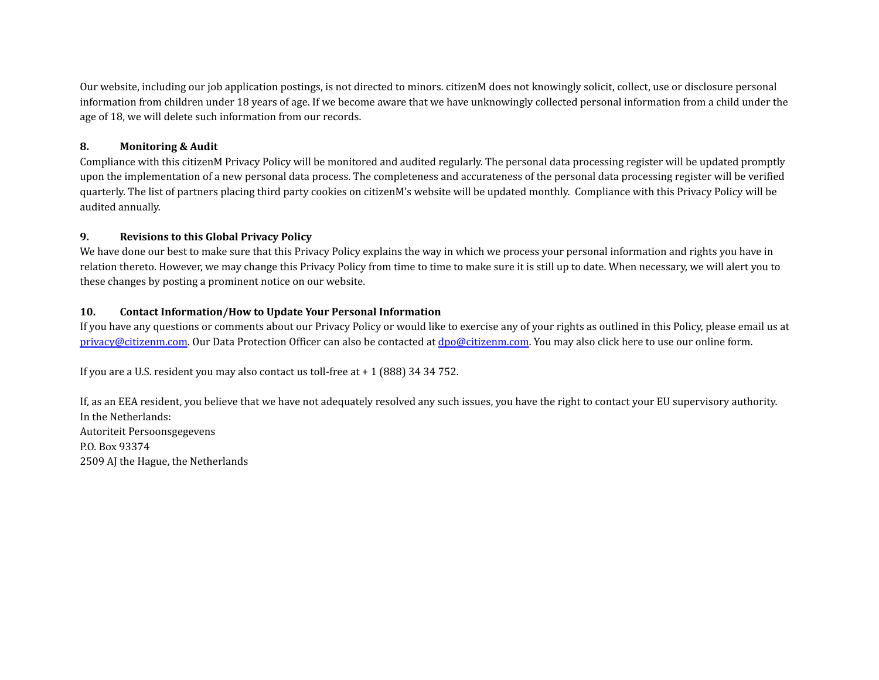Our website, including our job application postings, is not directed to minors. citizenM does not knowingly solicit, collect, use or disclosure personal information from children under 18 years of age. If we become aware that we have unknowingly collected personal information from a child under the age of 18, we will delete such information from our records.

## **8. Monitoring & Audit**

Compliance with this citizenM Privacy Policy will be monitored and audited regularly. The personal data processing register will be updated promptly upon the implementation of a new personal data process. The completeness and accurateness of the personal data processing register will be verified quarterly. The list of partners placing third party cookies on citizenM's website will be updated monthly. Compliance with this Privacy Policy will be audited annually.

## **9. Revisions to this Global Privacy Policy**

We have done our best to make sure that this Privacy Policy explains the way in which we process your personal information and rights you have in relation thereto. However, we may change this Privacy Policy from time to time to make sure it is still up to date. When necessary, we will alert you to these changes by posting a prominent notice on our website.

## **10. Contact Information/How to Update Your Personal Information**

If you have any questions or comments about our Privacy Policy or would like to exercise any of your rights as outlined in this Policy, please email us at [privacy@citizenm.com](mailto:privacy@citizenm.com). Our Data Protection Officer can also be contacted at [dpo@citizenm.com.](mailto:dpo@citizenm.com) You may also click here to use our online form.

If you are a U.S. resident you may also contact us toll-free at + 1 (888) 34 34 752.

If, as an EEA resident, you believe that we have not adequately resolved any such issues, you have the right to contact your EU supervisory authority. In the Netherlands: Autoriteit Persoonsgegevens P.O. Box 93374 2509 AJ the Hague, the Netherlands